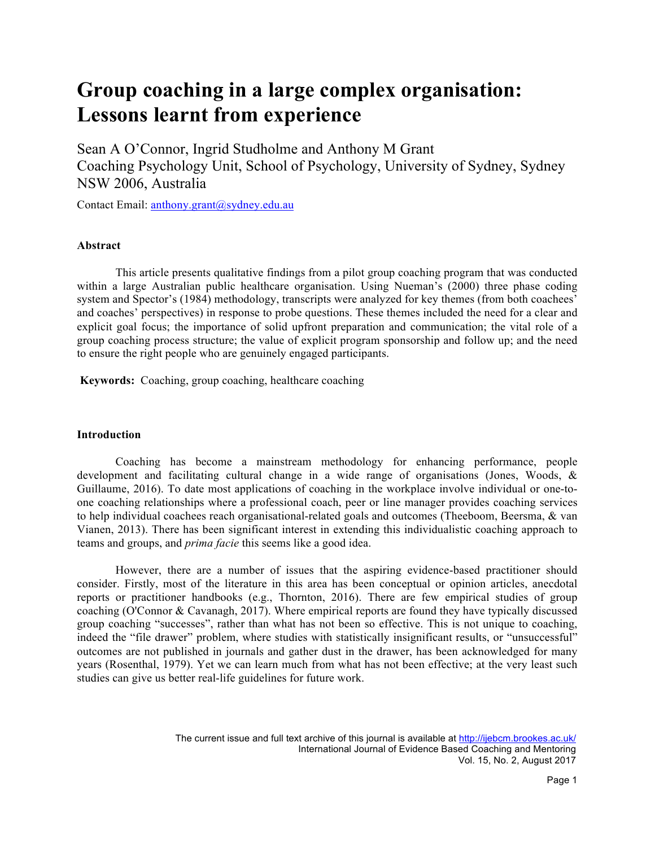# **Group coaching in a large complex organisation: Lessons learnt from experience**

Sean A O'Connor, Ingrid Studholme and Anthony M Grant Coaching Psychology Unit, School of Psychology, University of Sydney, Sydney NSW 2006, Australia

Contact Email: anthony.grant@sydney.edu.au

## **Abstract**

This article presents qualitative findings from a pilot group coaching program that was conducted within a large Australian public healthcare organisation. Using Nueman's (2000) three phase coding system and Spector's (1984) methodology, transcripts were analyzed for key themes (from both coachees' and coaches' perspectives) in response to probe questions. These themes included the need for a clear and explicit goal focus; the importance of solid upfront preparation and communication; the vital role of a group coaching process structure; the value of explicit program sponsorship and follow up; and the need to ensure the right people who are genuinely engaged participants.

**Keywords:** Coaching, group coaching, healthcare coaching

# **Introduction**

Coaching has become a mainstream methodology for enhancing performance, people development and facilitating cultural change in a wide range of organisations (Jones, Woods, & Guillaume, 2016). To date most applications of coaching in the workplace involve individual or one-toone coaching relationships where a professional coach, peer or line manager provides coaching services to help individual coachees reach organisational-related goals and outcomes (Theeboom, Beersma, & van Vianen, 2013). There has been significant interest in extending this individualistic coaching approach to teams and groups, and *prima facie* this seems like a good idea.

However, there are a number of issues that the aspiring evidence-based practitioner should consider. Firstly, most of the literature in this area has been conceptual or opinion articles, anecdotal reports or practitioner handbooks (e.g., Thornton, 2016). There are few empirical studies of group coaching (O'Connor & Cavanagh, 2017). Where empirical reports are found they have typically discussed group coaching "successes", rather than what has not been so effective. This is not unique to coaching, indeed the "file drawer" problem, where studies with statistically insignificant results, or "unsuccessful" outcomes are not published in journals and gather dust in the drawer, has been acknowledged for many years (Rosenthal, 1979). Yet we can learn much from what has not been effective; at the very least such studies can give us better real-life guidelines for future work.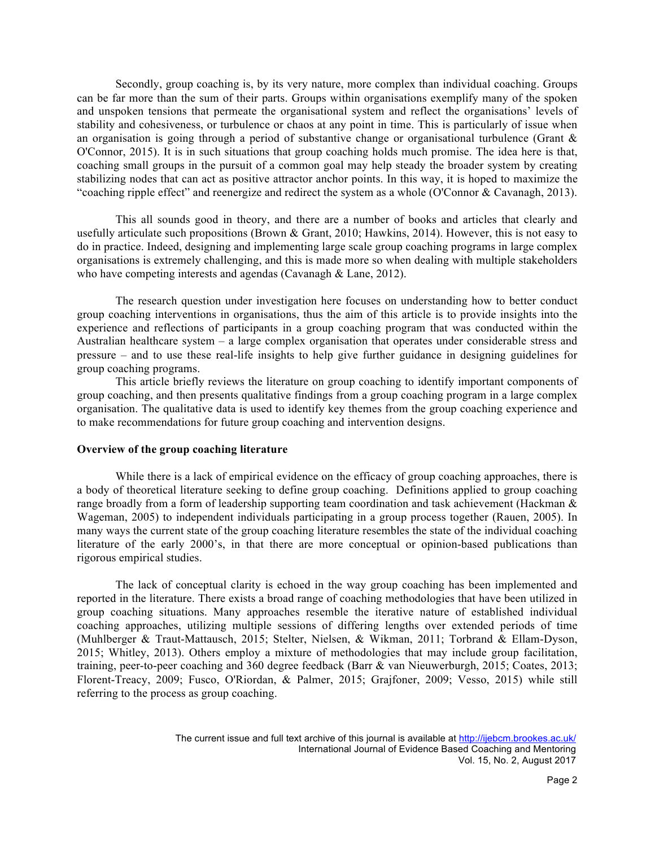Secondly, group coaching is, by its very nature, more complex than individual coaching. Groups can be far more than the sum of their parts. Groups within organisations exemplify many of the spoken and unspoken tensions that permeate the organisational system and reflect the organisations' levels of stability and cohesiveness, or turbulence or chaos at any point in time. This is particularly of issue when an organisation is going through a period of substantive change or organisational turbulence (Grant  $\&$ O'Connor, 2015). It is in such situations that group coaching holds much promise. The idea here is that, coaching small groups in the pursuit of a common goal may help steady the broader system by creating stabilizing nodes that can act as positive attractor anchor points. In this way, it is hoped to maximize the "coaching ripple effect" and reenergize and redirect the system as a whole (O'Connor & Cavanagh, 2013).

This all sounds good in theory, and there are a number of books and articles that clearly and usefully articulate such propositions (Brown & Grant, 2010; Hawkins, 2014). However, this is not easy to do in practice. Indeed, designing and implementing large scale group coaching programs in large complex organisations is extremely challenging, and this is made more so when dealing with multiple stakeholders who have competing interests and agendas (Cavanagh & Lane, 2012).

The research question under investigation here focuses on understanding how to better conduct group coaching interventions in organisations, thus the aim of this article is to provide insights into the experience and reflections of participants in a group coaching program that was conducted within the Australian healthcare system – a large complex organisation that operates under considerable stress and pressure – and to use these real-life insights to help give further guidance in designing guidelines for group coaching programs.

This article briefly reviews the literature on group coaching to identify important components of group coaching, and then presents qualitative findings from a group coaching program in a large complex organisation. The qualitative data is used to identify key themes from the group coaching experience and to make recommendations for future group coaching and intervention designs.

## **Overview of the group coaching literature**

While there is a lack of empirical evidence on the efficacy of group coaching approaches, there is a body of theoretical literature seeking to define group coaching. Definitions applied to group coaching range broadly from a form of leadership supporting team coordination and task achievement (Hackman & Wageman, 2005) to independent individuals participating in a group process together (Rauen, 2005). In many ways the current state of the group coaching literature resembles the state of the individual coaching literature of the early 2000's, in that there are more conceptual or opinion-based publications than rigorous empirical studies.

The lack of conceptual clarity is echoed in the way group coaching has been implemented and reported in the literature. There exists a broad range of coaching methodologies that have been utilized in group coaching situations. Many approaches resemble the iterative nature of established individual coaching approaches, utilizing multiple sessions of differing lengths over extended periods of time (Muhlberger & Traut-Mattausch, 2015; Stelter, Nielsen, & Wikman, 2011; Torbrand & Ellam-Dyson, 2015; Whitley, 2013). Others employ a mixture of methodologies that may include group facilitation, training, peer-to-peer coaching and 360 degree feedback (Barr & van Nieuwerburgh, 2015; Coates, 2013; Florent-Treacy, 2009; Fusco, O'Riordan, & Palmer, 2015; Grajfoner, 2009; Vesso, 2015) while still referring to the process as group coaching.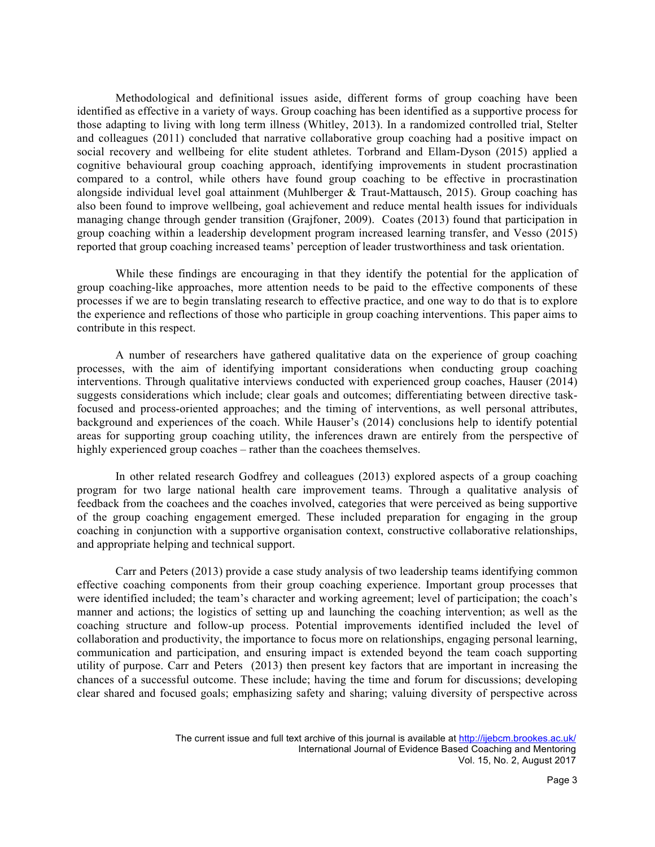Methodological and definitional issues aside, different forms of group coaching have been identified as effective in a variety of ways. Group coaching has been identified as a supportive process for those adapting to living with long term illness (Whitley, 2013). In a randomized controlled trial, Stelter and colleagues (2011) concluded that narrative collaborative group coaching had a positive impact on social recovery and wellbeing for elite student athletes. Torbrand and Ellam-Dyson (2015) applied a cognitive behavioural group coaching approach, identifying improvements in student procrastination compared to a control, while others have found group coaching to be effective in procrastination alongside individual level goal attainment (Muhlberger & Traut-Mattausch, 2015). Group coaching has also been found to improve wellbeing, goal achievement and reduce mental health issues for individuals managing change through gender transition (Grajfoner, 2009). Coates (2013) found that participation in group coaching within a leadership development program increased learning transfer, and Vesso (2015) reported that group coaching increased teams' perception of leader trustworthiness and task orientation.

While these findings are encouraging in that they identify the potential for the application of group coaching-like approaches, more attention needs to be paid to the effective components of these processes if we are to begin translating research to effective practice, and one way to do that is to explore the experience and reflections of those who participle in group coaching interventions. This paper aims to contribute in this respect.

A number of researchers have gathered qualitative data on the experience of group coaching processes, with the aim of identifying important considerations when conducting group coaching interventions. Through qualitative interviews conducted with experienced group coaches, Hauser (2014) suggests considerations which include; clear goals and outcomes; differentiating between directive taskfocused and process-oriented approaches; and the timing of interventions, as well personal attributes, background and experiences of the coach. While Hauser's (2014) conclusions help to identify potential areas for supporting group coaching utility, the inferences drawn are entirely from the perspective of highly experienced group coaches – rather than the coachees themselves.

In other related research Godfrey and colleagues (2013) explored aspects of a group coaching program for two large national health care improvement teams. Through a qualitative analysis of feedback from the coachees and the coaches involved, categories that were perceived as being supportive of the group coaching engagement emerged. These included preparation for engaging in the group coaching in conjunction with a supportive organisation context, constructive collaborative relationships, and appropriate helping and technical support.

Carr and Peters (2013) provide a case study analysis of two leadership teams identifying common effective coaching components from their group coaching experience. Important group processes that were identified included; the team's character and working agreement; level of participation; the coach's manner and actions; the logistics of setting up and launching the coaching intervention; as well as the coaching structure and follow-up process. Potential improvements identified included the level of collaboration and productivity, the importance to focus more on relationships, engaging personal learning, communication and participation, and ensuring impact is extended beyond the team coach supporting utility of purpose. Carr and Peters (2013) then present key factors that are important in increasing the chances of a successful outcome. These include; having the time and forum for discussions; developing clear shared and focused goals; emphasizing safety and sharing; valuing diversity of perspective across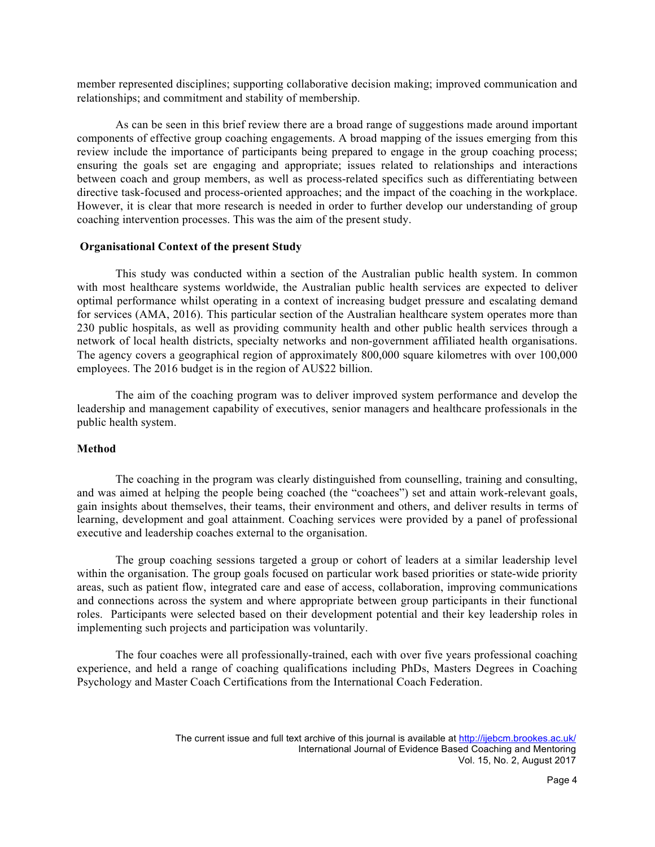member represented disciplines; supporting collaborative decision making; improved communication and relationships; and commitment and stability of membership.

As can be seen in this brief review there are a broad range of suggestions made around important components of effective group coaching engagements. A broad mapping of the issues emerging from this review include the importance of participants being prepared to engage in the group coaching process; ensuring the goals set are engaging and appropriate; issues related to relationships and interactions between coach and group members, as well as process-related specifics such as differentiating between directive task-focused and process-oriented approaches; and the impact of the coaching in the workplace. However, it is clear that more research is needed in order to further develop our understanding of group coaching intervention processes. This was the aim of the present study.

## **Organisational Context of the present Study**

This study was conducted within a section of the Australian public health system. In common with most healthcare systems worldwide, the Australian public health services are expected to deliver optimal performance whilst operating in a context of increasing budget pressure and escalating demand for services (AMA, 2016). This particular section of the Australian healthcare system operates more than 230 public hospitals, as well as providing community health and other public health services through a network of local health districts, specialty networks and non-government affiliated health organisations. The agency covers a geographical region of approximately 800,000 square kilometres with over 100,000 employees. The 2016 budget is in the region of AU\$22 billion.

The aim of the coaching program was to deliver improved system performance and develop the leadership and management capability of executives, senior managers and healthcare professionals in the public health system.

## **Method**

The coaching in the program was clearly distinguished from counselling, training and consulting, and was aimed at helping the people being coached (the "coachees") set and attain work-relevant goals, gain insights about themselves, their teams, their environment and others, and deliver results in terms of learning, development and goal attainment. Coaching services were provided by a panel of professional executive and leadership coaches external to the organisation.

The group coaching sessions targeted a group or cohort of leaders at a similar leadership level within the organisation. The group goals focused on particular work based priorities or state-wide priority areas, such as patient flow, integrated care and ease of access, collaboration, improving communications and connections across the system and where appropriate between group participants in their functional roles. Participants were selected based on their development potential and their key leadership roles in implementing such projects and participation was voluntarily.

The four coaches were all professionally-trained, each with over five years professional coaching experience, and held a range of coaching qualifications including PhDs, Masters Degrees in Coaching Psychology and Master Coach Certifications from the International Coach Federation.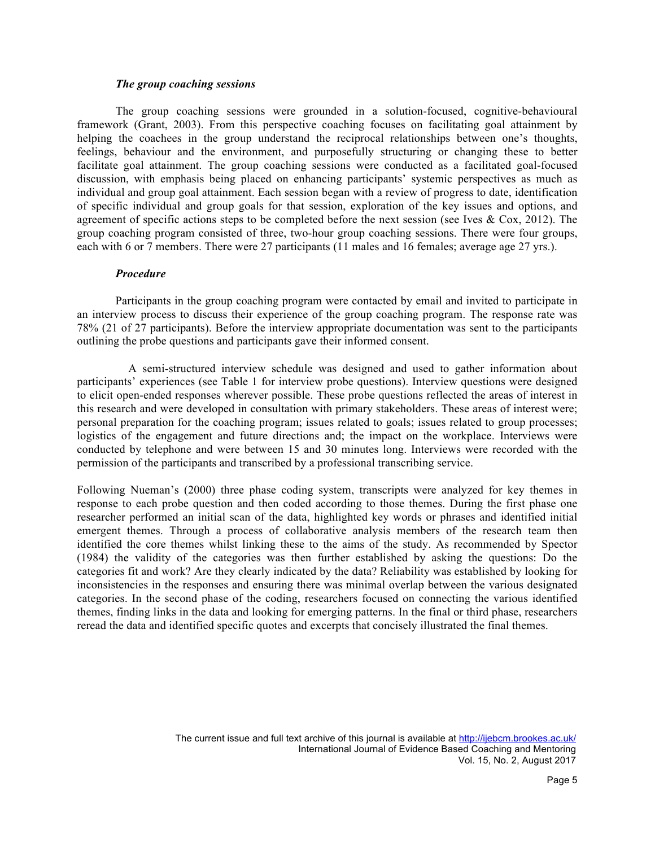## *The group coaching sessions*

The group coaching sessions were grounded in a solution-focused, cognitive-behavioural framework (Grant, 2003). From this perspective coaching focuses on facilitating goal attainment by helping the coachees in the group understand the reciprocal relationships between one's thoughts, feelings, behaviour and the environment, and purposefully structuring or changing these to better facilitate goal attainment. The group coaching sessions were conducted as a facilitated goal-focused discussion, with emphasis being placed on enhancing participants' systemic perspectives as much as individual and group goal attainment. Each session began with a review of progress to date, identification of specific individual and group goals for that session, exploration of the key issues and options, and agreement of specific actions steps to be completed before the next session (see Ives  $\&$  Cox, 2012). The group coaching program consisted of three, two-hour group coaching sessions. There were four groups, each with 6 or 7 members. There were 27 participants (11 males and 16 females; average age 27 yrs.).

#### *Procedure*

Participants in the group coaching program were contacted by email and invited to participate in an interview process to discuss their experience of the group coaching program. The response rate was 78% (21 of 27 participants). Before the interview appropriate documentation was sent to the participants outlining the probe questions and participants gave their informed consent.

A semi-structured interview schedule was designed and used to gather information about participants' experiences (see Table 1 for interview probe questions). Interview questions were designed to elicit open-ended responses wherever possible. These probe questions reflected the areas of interest in this research and were developed in consultation with primary stakeholders. These areas of interest were; personal preparation for the coaching program; issues related to goals; issues related to group processes; logistics of the engagement and future directions and; the impact on the workplace. Interviews were conducted by telephone and were between 15 and 30 minutes long. Interviews were recorded with the permission of the participants and transcribed by a professional transcribing service.

Following Nueman's (2000) three phase coding system, transcripts were analyzed for key themes in response to each probe question and then coded according to those themes. During the first phase one researcher performed an initial scan of the data, highlighted key words or phrases and identified initial emergent themes. Through a process of collaborative analysis members of the research team then identified the core themes whilst linking these to the aims of the study. As recommended by Spector (1984) the validity of the categories was then further established by asking the questions: Do the categories fit and work? Are they clearly indicated by the data? Reliability was established by looking for inconsistencies in the responses and ensuring there was minimal overlap between the various designated categories. In the second phase of the coding, researchers focused on connecting the various identified themes, finding links in the data and looking for emerging patterns. In the final or third phase, researchers reread the data and identified specific quotes and excerpts that concisely illustrated the final themes.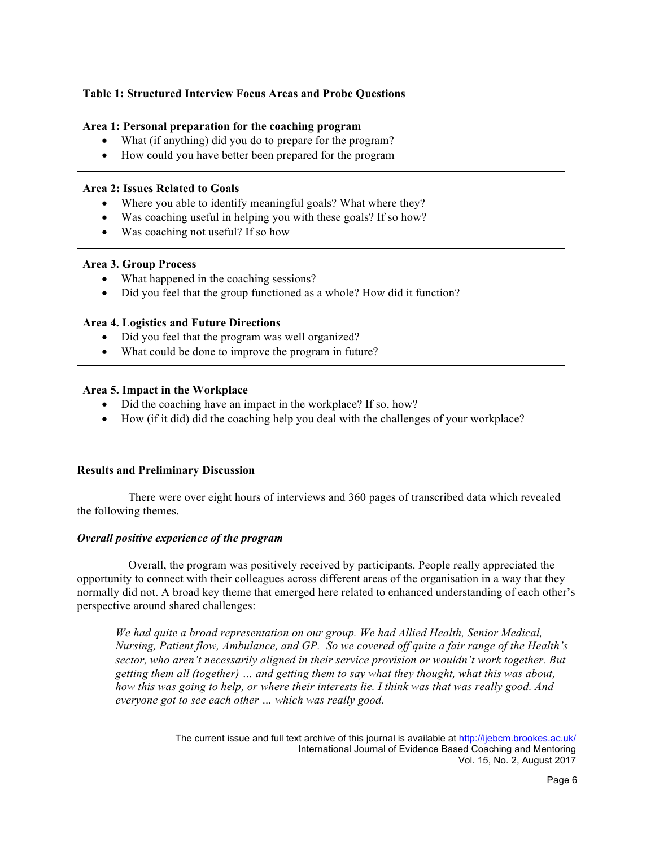## **Table 1: Structured Interview Focus Areas and Probe Questions**

## **Area 1: Personal preparation for the coaching program**

- What (if anything) did you do to prepare for the program?
- How could you have better been prepared for the program

## **Area 2: Issues Related to Goals**

- Where you able to identify meaningful goals? What where they?
- Was coaching useful in helping you with these goals? If so how?
- Was coaching not useful? If so how

## **Area 3. Group Process**

- What happened in the coaching sessions?
- Did you feel that the group functioned as a whole? How did it function?

## **Area 4. Logistics and Future Directions**

- Did you feel that the program was well organized?
- What could be done to improve the program in future?

## **Area 5. Impact in the Workplace**

- Did the coaching have an impact in the workplace? If so, how?
- How (if it did) did the coaching help you deal with the challenges of your workplace?

# **Results and Preliminary Discussion**

There were over eight hours of interviews and 360 pages of transcribed data which revealed the following themes.

## *Overall positive experience of the program*

Overall, the program was positively received by participants. People really appreciated the opportunity to connect with their colleagues across different areas of the organisation in a way that they normally did not. A broad key theme that emerged here related to enhanced understanding of each other's perspective around shared challenges:

*We had quite a broad representation on our group. We had Allied Health, Senior Medical, Nursing, Patient flow, Ambulance, and GP. So we covered off quite a fair range of the Health's sector, who aren't necessarily aligned in their service provision or wouldn't work together. But getting them all (together) … and getting them to say what they thought, what this was about, how this was going to help, or where their interests lie. I think was that was really good. And everyone got to see each other … which was really good.*

> The current issue and full text archive of this journal is available at http://ijebcm.brookes.ac.uk/ International Journal of Evidence Based Coaching and Mentoring Vol. 15, No. 2, August 2017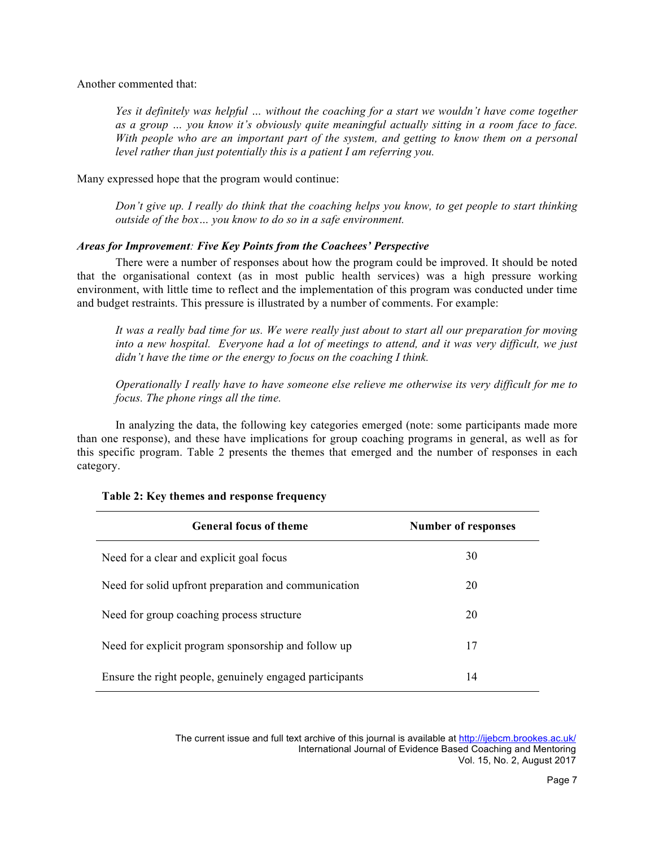Another commented that:

*Yes it definitely was helpful … without the coaching for a start we wouldn't have come together as a group … you know it's obviously quite meaningful actually sitting in a room face to face. With people who are an important part of the system, and getting to know them on a personal level rather than just potentially this is a patient I am referring you.*

Many expressed hope that the program would continue:

*Don't give up. I really do think that the coaching helps you know, to get people to start thinking outside of the box… you know to do so in a safe environment.*

## *Areas for Improvement: Five Key Points from the Coachees' Perspective*

There were a number of responses about how the program could be improved. It should be noted that the organisational context (as in most public health services) was a high pressure working environment, with little time to reflect and the implementation of this program was conducted under time and budget restraints. This pressure is illustrated by a number of comments. For example:

*It was a really bad time for us. We were really just about to start all our preparation for moving into a new hospital. Everyone had a lot of meetings to attend, and it was very difficult, we just didn't have the time or the energy to focus on the coaching I think.*

*Operationally I really have to have someone else relieve me otherwise its very difficult for me to focus. The phone rings all the time.*

In analyzing the data, the following key categories emerged (note: some participants made more than one response), and these have implications for group coaching programs in general, as well as for this specific program. Table 2 presents the themes that emerged and the number of responses in each category.

| <b>General focus of theme</b>                           | <b>Number of responses</b> |
|---------------------------------------------------------|----------------------------|
| Need for a clear and explicit goal focus                | 30                         |
| Need for solid upfront preparation and communication    | 20                         |
| Need for group coaching process structure               | 20                         |
| Need for explicit program sponsorship and follow up     | 17                         |
| Ensure the right people, genuinely engaged participants | 14                         |

## **Table 2: Key themes and response frequency**

The current issue and full text archive of this journal is available at http://ijebcm.brookes.ac.uk/ International Journal of Evidence Based Coaching and Mentoring Vol. 15, No. 2, August 2017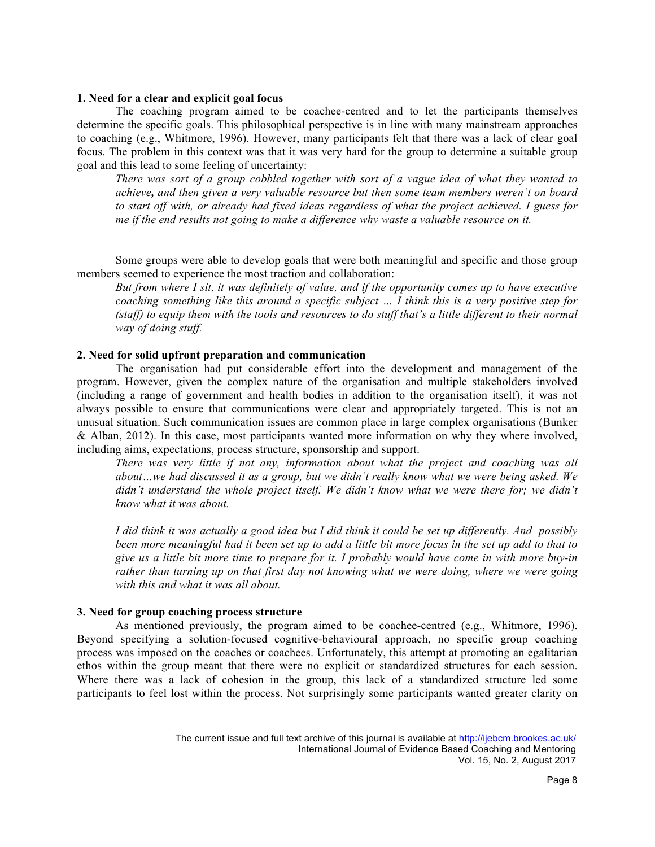#### **1. Need for a clear and explicit goal focus**

The coaching program aimed to be coachee-centred and to let the participants themselves determine the specific goals. This philosophical perspective is in line with many mainstream approaches to coaching (e.g., Whitmore, 1996). However, many participants felt that there was a lack of clear goal focus. The problem in this context was that it was very hard for the group to determine a suitable group goal and this lead to some feeling of uncertainty:

*There was sort of a group cobbled together with sort of a vague idea of what they wanted to achieve, and then given a very valuable resource but then some team members weren't on board to start off with, or already had fixed ideas regardless of what the project achieved. I guess for me if the end results not going to make a difference why waste a valuable resource on it.*

Some groups were able to develop goals that were both meaningful and specific and those group members seemed to experience the most traction and collaboration:

*But from where I sit, it was definitely of value, and if the opportunity comes up to have executive coaching something like this around a specific subject … I think this is a very positive step for (staff) to equip them with the tools and resources to do stuff that's a little different to their normal way of doing stuff.*

## **2. Need for solid upfront preparation and communication**

The organisation had put considerable effort into the development and management of the program. However, given the complex nature of the organisation and multiple stakeholders involved (including a range of government and health bodies in addition to the organisation itself), it was not always possible to ensure that communications were clear and appropriately targeted. This is not an unusual situation. Such communication issues are common place in large complex organisations (Bunker & Alban, 2012). In this case, most participants wanted more information on why they where involved, including aims, expectations, process structure, sponsorship and support.

*There was very little if not any, information about what the project and coaching was all about…we had discussed it as a group, but we didn't really know what we were being asked. We didn't understand the whole project itself. We didn't know what we were there for; we didn't know what it was about.* 

*I did think it was actually a good idea but I did think it could be set up differently. And possibly been more meaningful had it been set up to add a little bit more focus in the set up add to that to give us a little bit more time to prepare for it. I probably would have come in with more buy-in rather than turning up on that first day not knowing what we were doing, where we were going with this and what it was all about.*

## **3. Need for group coaching process structure**

As mentioned previously, the program aimed to be coachee-centred (e.g., Whitmore, 1996). Beyond specifying a solution-focused cognitive-behavioural approach, no specific group coaching process was imposed on the coaches or coachees. Unfortunately, this attempt at promoting an egalitarian ethos within the group meant that there were no explicit or standardized structures for each session. Where there was a lack of cohesion in the group, this lack of a standardized structure led some participants to feel lost within the process. Not surprisingly some participants wanted greater clarity on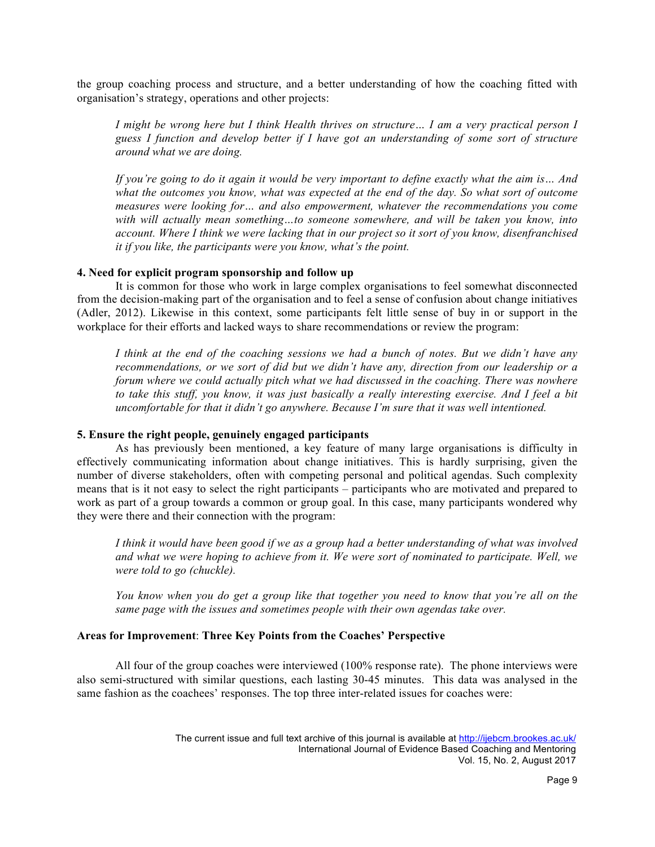the group coaching process and structure, and a better understanding of how the coaching fitted with organisation's strategy, operations and other projects:

*I might be wrong here but I think Health thrives on structure… I am a very practical person I guess I function and develop better if I have got an understanding of some sort of structure around what we are doing.* 

*If you're going to do it again it would be very important to define exactly what the aim is… And what the outcomes you know, what was expected at the end of the day. So what sort of outcome measures were looking for… and also empowerment, whatever the recommendations you come with will actually mean something…to someone somewhere, and will be taken you know, into account. Where I think we were lacking that in our project so it sort of you know, disenfranchised it if you like, the participants were you know, what's the point.*

#### **4. Need for explicit program sponsorship and follow up**

It is common for those who work in large complex organisations to feel somewhat disconnected from the decision-making part of the organisation and to feel a sense of confusion about change initiatives (Adler, 2012). Likewise in this context, some participants felt little sense of buy in or support in the workplace for their efforts and lacked ways to share recommendations or review the program:

*I think at the end of the coaching sessions we had a bunch of notes. But we didn't have any recommendations, or we sort of did but we didn't have any, direction from our leadership or a forum where we could actually pitch what we had discussed in the coaching. There was nowhere to take this stuff, you know, it was just basically a really interesting exercise. And I feel a bit uncomfortable for that it didn't go anywhere. Because I'm sure that it was well intentioned.* 

## **5. Ensure the right people, genuinely engaged participants**

As has previously been mentioned, a key feature of many large organisations is difficulty in effectively communicating information about change initiatives. This is hardly surprising, given the number of diverse stakeholders, often with competing personal and political agendas. Such complexity means that is it not easy to select the right participants – participants who are motivated and prepared to work as part of a group towards a common or group goal. In this case, many participants wondered why they were there and their connection with the program:

*I think it would have been good if we as a group had a better understanding of what was involved and what we were hoping to achieve from it. We were sort of nominated to participate. Well, we were told to go (chuckle).*

*You know when you do get a group like that together you need to know that you're all on the same page with the issues and sometimes people with their own agendas take over.*

## **Areas for Improvement**: **Three Key Points from the Coaches' Perspective**

All four of the group coaches were interviewed (100% response rate). The phone interviews were also semi-structured with similar questions, each lasting 30-45 minutes. This data was analysed in the same fashion as the coachees' responses. The top three inter-related issues for coaches were: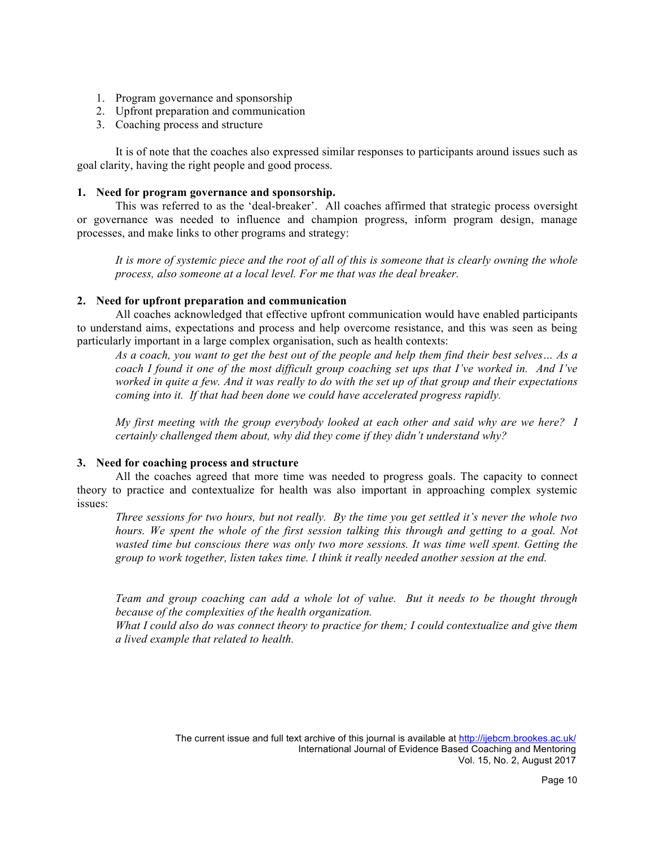- 1. Program governance and sponsorship
- 2. Upfront preparation and communication
- 3. Coaching process and structure

It is of note that the coaches also expressed similar responses to participants around issues such as goal clarity, having the right people and good process.

## **1. Need for program governance and sponsorship.**

This was referred to as the 'deal-breaker'. All coaches affirmed that strategic process oversight or governance was needed to influence and champion progress, inform program design, manage processes, and make links to other programs and strategy:

*It is more of systemic piece and the root of all of this is someone that is clearly owning the whole process, also someone at a local level. For me that was the deal breaker.*

# **2. Need for upfront preparation and communication**

All coaches acknowledged that effective upfront communication would have enabled participants to understand aims, expectations and process and help overcome resistance, and this was seen as being particularly important in a large complex organisation, such as health contexts:

*As a coach, you want to get the best out of the people and help them find their best selves… As a coach I found it one of the most difficult group coaching set ups that I've worked in. And I've worked in quite a few. And it was really to do with the set up of that group and their expectations coming into it. If that had been done we could have accelerated progress rapidly.*

*My first meeting with the group everybody looked at each other and said why are we here? I certainly challenged them about, why did they come if they didn't understand why?*

# **3. Need for coaching process and structure**

All the coaches agreed that more time was needed to progress goals. The capacity to connect theory to practice and contextualize for health was also important in approaching complex systemic issues:

*Three sessions for two hours, but not really. By the time you get settled it's never the whole two hours. We spent the whole of the first session talking this through and getting to a goal. Not wasted time but conscious there was only two more sessions. It was time well spent. Getting the group to work together, listen takes time. I think it really needed another session at the end.*

*Team and group coaching can add a whole lot of value. But it needs to be thought through because of the complexities of the health organization.*

*What I could also do was connect theory to practice for them; I could contextualize and give them a lived example that related to health.*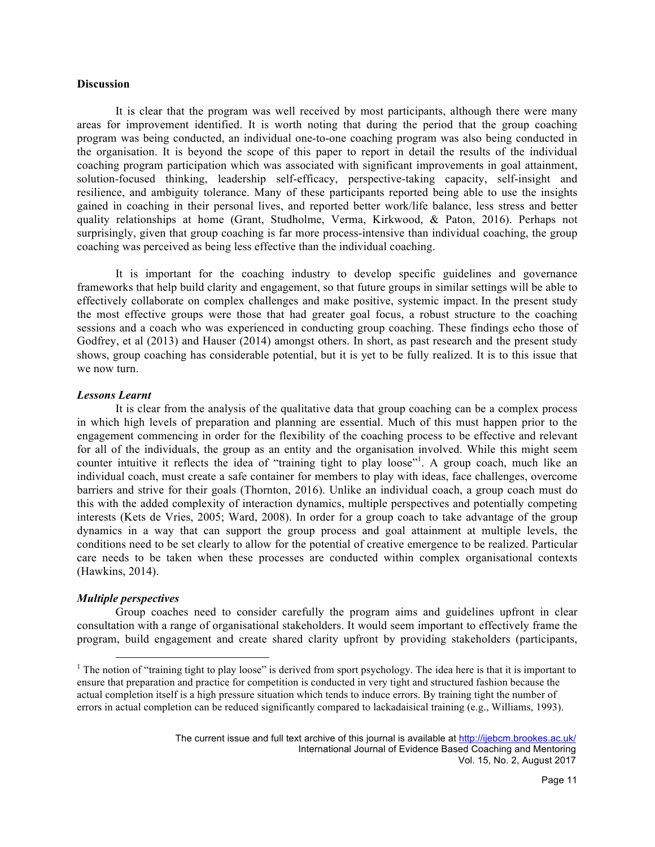#### **Discussion**

It is clear that the program was well received by most participants, although there were many areas for improvement identified. It is worth noting that during the period that the group coaching program was being conducted, an individual one-to-one coaching program was also being conducted in the organisation. It is beyond the scope of this paper to report in detail the results of the individual coaching program participation which was associated with significant improvements in goal attainment, solution-focused thinking, leadership self-efficacy, perspective-taking capacity, self-insight and resilience, and ambiguity tolerance. Many of these participants reported being able to use the insights gained in coaching in their personal lives, and reported better work/life balance, less stress and better quality relationships at home (Grant, Studholme, Verma, Kirkwood, & Paton, 2016). Perhaps not surprisingly, given that group coaching is far more process-intensive than individual coaching, the group coaching was perceived as being less effective than the individual coaching.

It is important for the coaching industry to develop specific guidelines and governance frameworks that help build clarity and engagement, so that future groups in similar settings will be able to effectively collaborate on complex challenges and make positive, systemic impact. In the present study the most effective groups were those that had greater goal focus, a robust structure to the coaching sessions and a coach who was experienced in conducting group coaching. These findings echo those of Godfrey, et al (2013) and Hauser (2014) amongst others. In short, as past research and the present study shows, group coaching has considerable potential, but it is yet to be fully realized. It is to this issue that we now turn.

#### *Lessons Learnt*

It is clear from the analysis of the qualitative data that group coaching can be a complex process in which high levels of preparation and planning are essential. Much of this must happen prior to the engagement commencing in order for the flexibility of the coaching process to be effective and relevant for all of the individuals, the group as an entity and the organisation involved. While this might seem counter intuitive it reflects the idea of "training tight to play loose"<sup>1</sup>. A group coach, much like an individual coach, must create a safe container for members to play with ideas, face challenges, overcome barriers and strive for their goals (Thornton, 2016). Unlike an individual coach, a group coach must do this with the added complexity of interaction dynamics, multiple perspectives and potentially competing interests (Kets de Vries, 2005; Ward, 2008). In order for a group coach to take advantage of the group dynamics in a way that can support the group process and goal attainment at multiple levels, the conditions need to be set clearly to allow for the potential of creative emergence to be realized. Particular care needs to be taken when these processes are conducted within complex organisational contexts (Hawkins, 2014).

## *Multiple perspectives*

Group coaches need to consider carefully the program aims and guidelines upfront in clear consultation with a range of organisational stakeholders. It would seem important to effectively frame the program, build engagement and create shared clarity upfront by providing stakeholders (participants,

<sup>&</sup>lt;sup>1</sup> The notion of "training tight to play loose" is derived from sport psychology. The idea here is that it is important to ensure that preparation and practice for competition is conducted in very tight and structured fashion because the actual completion itself is a high pressure situation which tends to induce errors. By training tight the number of errors in actual completion can be reduced significantly compared to lackadaisical training (e.g., Williams, 1993).

The current issue and full text archive of this journal is available at http://ijebcm.brookes.ac.uk/ International Journal of Evidence Based Coaching and Mentoring Vol. 15, No. 2, August 2017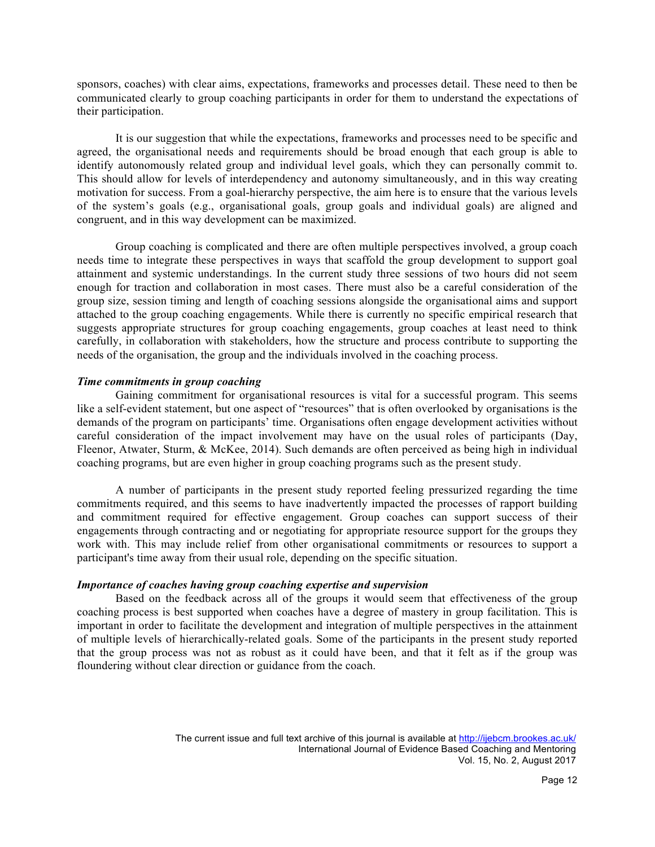sponsors, coaches) with clear aims, expectations, frameworks and processes detail. These need to then be communicated clearly to group coaching participants in order for them to understand the expectations of their participation.

It is our suggestion that while the expectations, frameworks and processes need to be specific and agreed, the organisational needs and requirements should be broad enough that each group is able to identify autonomously related group and individual level goals, which they can personally commit to. This should allow for levels of interdependency and autonomy simultaneously, and in this way creating motivation for success. From a goal-hierarchy perspective, the aim here is to ensure that the various levels of the system's goals (e.g., organisational goals, group goals and individual goals) are aligned and congruent, and in this way development can be maximized.

Group coaching is complicated and there are often multiple perspectives involved, a group coach needs time to integrate these perspectives in ways that scaffold the group development to support goal attainment and systemic understandings. In the current study three sessions of two hours did not seem enough for traction and collaboration in most cases. There must also be a careful consideration of the group size, session timing and length of coaching sessions alongside the organisational aims and support attached to the group coaching engagements. While there is currently no specific empirical research that suggests appropriate structures for group coaching engagements, group coaches at least need to think carefully, in collaboration with stakeholders, how the structure and process contribute to supporting the needs of the organisation, the group and the individuals involved in the coaching process.

## *Time commitments in group coaching*

Gaining commitment for organisational resources is vital for a successful program. This seems like a self-evident statement, but one aspect of "resources" that is often overlooked by organisations is the demands of the program on participants' time. Organisations often engage development activities without careful consideration of the impact involvement may have on the usual roles of participants (Day, Fleenor, Atwater, Sturm, & McKee, 2014). Such demands are often perceived as being high in individual coaching programs, but are even higher in group coaching programs such as the present study.

A number of participants in the present study reported feeling pressurized regarding the time commitments required, and this seems to have inadvertently impacted the processes of rapport building and commitment required for effective engagement. Group coaches can support success of their engagements through contracting and or negotiating for appropriate resource support for the groups they work with. This may include relief from other organisational commitments or resources to support a participant's time away from their usual role, depending on the specific situation.

#### *Importance of coaches having group coaching expertise and supervision*

Based on the feedback across all of the groups it would seem that effectiveness of the group coaching process is best supported when coaches have a degree of mastery in group facilitation. This is important in order to facilitate the development and integration of multiple perspectives in the attainment of multiple levels of hierarchically-related goals. Some of the participants in the present study reported that the group process was not as robust as it could have been, and that it felt as if the group was floundering without clear direction or guidance from the coach.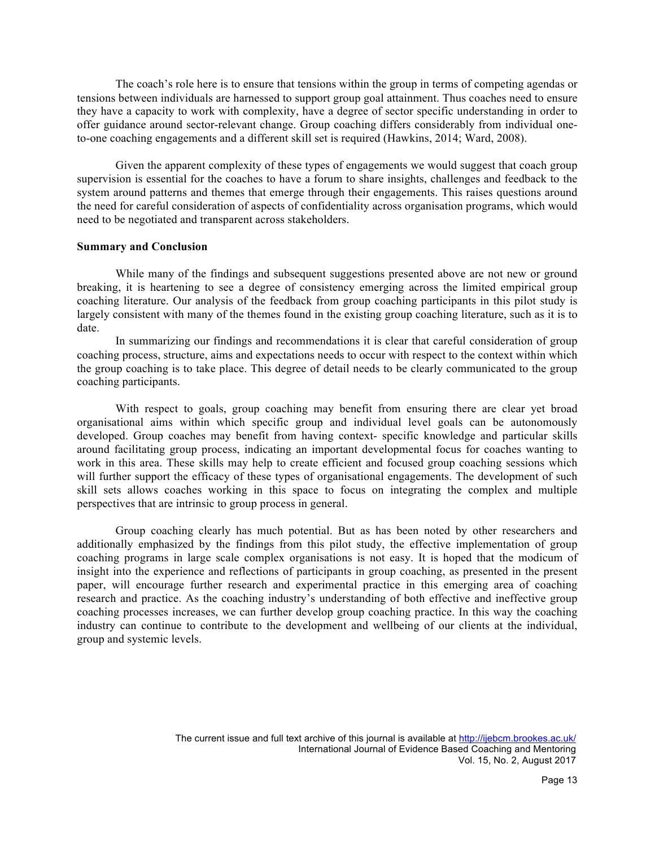The coach's role here is to ensure that tensions within the group in terms of competing agendas or tensions between individuals are harnessed to support group goal attainment. Thus coaches need to ensure they have a capacity to work with complexity, have a degree of sector specific understanding in order to offer guidance around sector-relevant change. Group coaching differs considerably from individual oneto-one coaching engagements and a different skill set is required (Hawkins, 2014; Ward, 2008).

Given the apparent complexity of these types of engagements we would suggest that coach group supervision is essential for the coaches to have a forum to share insights, challenges and feedback to the system around patterns and themes that emerge through their engagements. This raises questions around the need for careful consideration of aspects of confidentiality across organisation programs, which would need to be negotiated and transparent across stakeholders.

# **Summary and Conclusion**

While many of the findings and subsequent suggestions presented above are not new or ground breaking, it is heartening to see a degree of consistency emerging across the limited empirical group coaching literature. Our analysis of the feedback from group coaching participants in this pilot study is largely consistent with many of the themes found in the existing group coaching literature, such as it is to date.

In summarizing our findings and recommendations it is clear that careful consideration of group coaching process, structure, aims and expectations needs to occur with respect to the context within which the group coaching is to take place. This degree of detail needs to be clearly communicated to the group coaching participants.

With respect to goals, group coaching may benefit from ensuring there are clear yet broad organisational aims within which specific group and individual level goals can be autonomously developed. Group coaches may benefit from having context- specific knowledge and particular skills around facilitating group process, indicating an important developmental focus for coaches wanting to work in this area. These skills may help to create efficient and focused group coaching sessions which will further support the efficacy of these types of organisational engagements. The development of such skill sets allows coaches working in this space to focus on integrating the complex and multiple perspectives that are intrinsic to group process in general.

Group coaching clearly has much potential. But as has been noted by other researchers and additionally emphasized by the findings from this pilot study, the effective implementation of group coaching programs in large scale complex organisations is not easy. It is hoped that the modicum of insight into the experience and reflections of participants in group coaching, as presented in the present paper, will encourage further research and experimental practice in this emerging area of coaching research and practice. As the coaching industry's understanding of both effective and ineffective group coaching processes increases, we can further develop group coaching practice. In this way the coaching industry can continue to contribute to the development and wellbeing of our clients at the individual, group and systemic levels.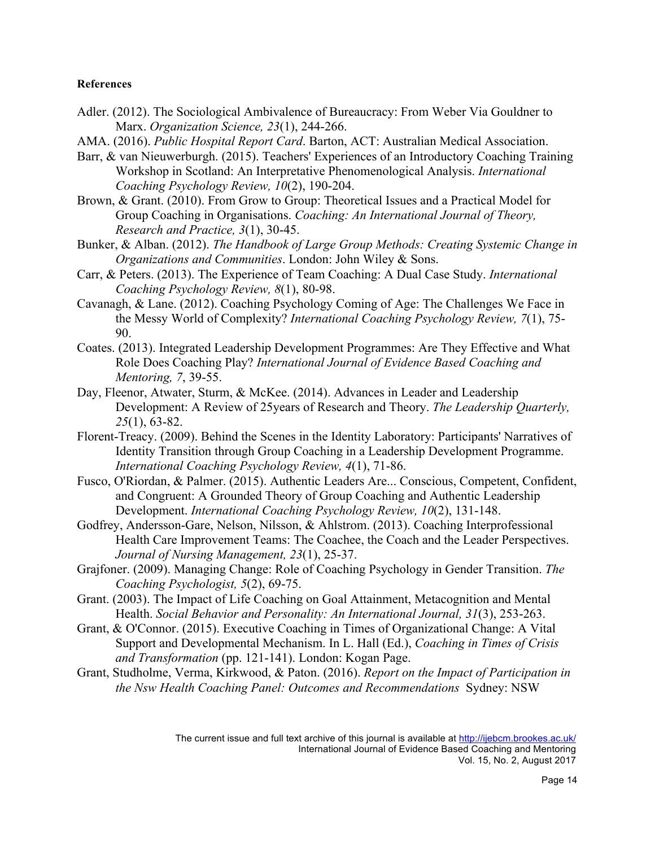# **References**

- Adler. (2012). The Sociological Ambivalence of Bureaucracy: From Weber Via Gouldner to Marx. *Organization Science, 23*(1), 244-266.
- AMA. (2016). *Public Hospital Report Card*. Barton, ACT: Australian Medical Association.
- Barr, & van Nieuwerburgh. (2015). Teachers' Experiences of an Introductory Coaching Training Workshop in Scotland: An Interpretative Phenomenological Analysis. *International Coaching Psychology Review, 10*(2), 190-204.
- Brown, & Grant. (2010). From Grow to Group: Theoretical Issues and a Practical Model for Group Coaching in Organisations. *Coaching: An International Journal of Theory, Research and Practice, 3*(1), 30-45.
- Bunker, & Alban. (2012). *The Handbook of Large Group Methods: Creating Systemic Change in Organizations and Communities*. London: John Wiley & Sons.
- Carr, & Peters. (2013). The Experience of Team Coaching: A Dual Case Study. *International Coaching Psychology Review, 8*(1), 80-98.
- Cavanagh, & Lane. (2012). Coaching Psychology Coming of Age: The Challenges We Face in the Messy World of Complexity? *International Coaching Psychology Review, 7*(1), 75- 90.
- Coates. (2013). Integrated Leadership Development Programmes: Are They Effective and What Role Does Coaching Play? *International Journal of Evidence Based Coaching and Mentoring, 7*, 39-55.
- Day, Fleenor, Atwater, Sturm, & McKee. (2014). Advances in Leader and Leadership Development: A Review of 25years of Research and Theory. *The Leadership Quarterly, 25*(1), 63-82.
- Florent-Treacy. (2009). Behind the Scenes in the Identity Laboratory: Participants' Narratives of Identity Transition through Group Coaching in a Leadership Development Programme. *International Coaching Psychology Review, 4*(1), 71-86.
- Fusco, O'Riordan, & Palmer. (2015). Authentic Leaders Are... Conscious, Competent, Confident, and Congruent: A Grounded Theory of Group Coaching and Authentic Leadership Development. *International Coaching Psychology Review, 10*(2), 131-148.
- Godfrey, Andersson-Gare, Nelson, Nilsson, & Ahlstrom. (2013). Coaching Interprofessional Health Care Improvement Teams: The Coachee, the Coach and the Leader Perspectives. *Journal of Nursing Management, 23*(1), 25-37.
- Grajfoner. (2009). Managing Change: Role of Coaching Psychology in Gender Transition. *The Coaching Psychologist, 5*(2), 69-75.
- Grant. (2003). The Impact of Life Coaching on Goal Attainment, Metacognition and Mental Health. *Social Behavior and Personality: An International Journal, 31*(3), 253-263.
- Grant, & O'Connor. (2015). Executive Coaching in Times of Organizational Change: A Vital Support and Developmental Mechanism. In L. Hall (Ed.), *Coaching in Times of Crisis and Transformation* (pp. 121-141). London: Kogan Page.
- Grant, Studholme, Verma, Kirkwood, & Paton. (2016). *Report on the Impact of Participation in the Nsw Health Coaching Panel: Outcomes and Recommendations* Sydney: NSW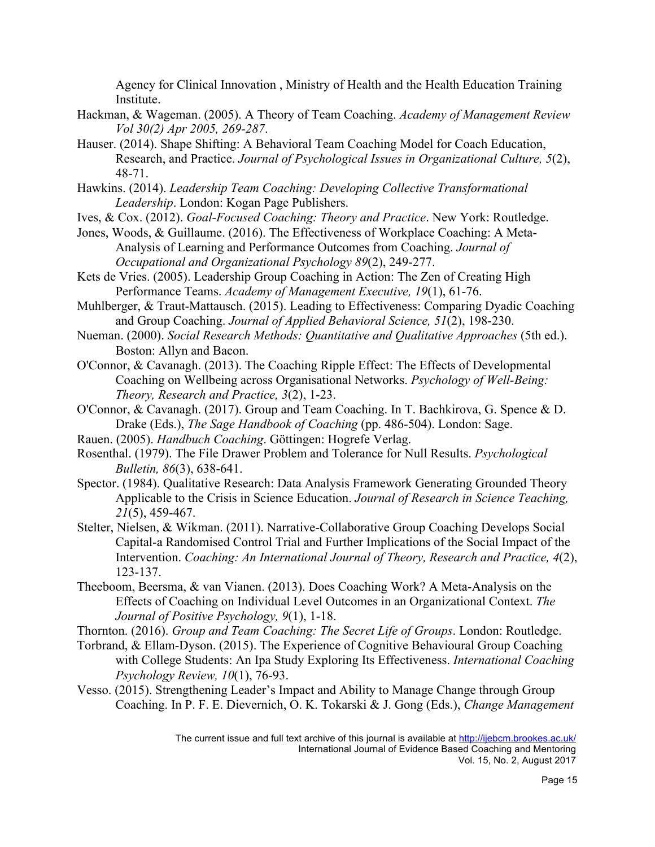Agency for Clinical Innovation , Ministry of Health and the Health Education Training Institute.

- Hackman, & Wageman. (2005). A Theory of Team Coaching. *Academy of Management Review Vol 30(2) Apr 2005, 269-287*.
- Hauser. (2014). Shape Shifting: A Behavioral Team Coaching Model for Coach Education, Research, and Practice. *Journal of Psychological Issues in Organizational Culture, 5*(2), 48-71.
- Hawkins. (2014). *Leadership Team Coaching: Developing Collective Transformational Leadership*. London: Kogan Page Publishers.
- Ives, & Cox. (2012). *Goal-Focused Coaching: Theory and Practice*. New York: Routledge.
- Jones, Woods, & Guillaume. (2016). The Effectiveness of Workplace Coaching: A Meta-Analysis of Learning and Performance Outcomes from Coaching. *Journal of Occupational and Organizational Psychology 89*(2), 249-277.
- Kets de Vries. (2005). Leadership Group Coaching in Action: The Zen of Creating High Performance Teams. *Academy of Management Executive, 19*(1), 61-76.
- Muhlberger, & Traut-Mattausch. (2015). Leading to Effectiveness: Comparing Dyadic Coaching and Group Coaching. *Journal of Applied Behavioral Science, 51*(2), 198-230.
- Nueman. (2000). *Social Research Methods: Quantitative and Qualitative Approaches* (5th ed.). Boston: Allyn and Bacon.
- O'Connor, & Cavanagh. (2013). The Coaching Ripple Effect: The Effects of Developmental Coaching on Wellbeing across Organisational Networks. *Psychology of Well-Being: Theory, Research and Practice, 3*(2), 1-23.
- O'Connor, & Cavanagh. (2017). Group and Team Coaching. In T. Bachkirova, G. Spence & D. Drake (Eds.), *The Sage Handbook of Coaching* (pp. 486-504). London: Sage.
- Rauen. (2005). *Handbuch Coaching*. Göttingen: Hogrefe Verlag.
- Rosenthal. (1979). The File Drawer Problem and Tolerance for Null Results. *Psychological Bulletin, 86*(3), 638-641.
- Spector. (1984). Qualitative Research: Data Analysis Framework Generating Grounded Theory Applicable to the Crisis in Science Education. *Journal of Research in Science Teaching, 21*(5), 459-467.
- Stelter, Nielsen, & Wikman. (2011). Narrative-Collaborative Group Coaching Develops Social Capital-a Randomised Control Trial and Further Implications of the Social Impact of the Intervention. *Coaching: An International Journal of Theory, Research and Practice, 4*(2), 123-137.
- Theeboom, Beersma, & van Vianen. (2013). Does Coaching Work? A Meta-Analysis on the Effects of Coaching on Individual Level Outcomes in an Organizational Context. *The Journal of Positive Psychology, 9*(1), 1-18.

Thornton. (2016). *Group and Team Coaching: The Secret Life of Groups*. London: Routledge.

- Torbrand, & Ellam-Dyson. (2015). The Experience of Cognitive Behavioural Group Coaching with College Students: An Ipa Study Exploring Its Effectiveness. *International Coaching Psychology Review, 10*(1), 76-93.
- Vesso. (2015). Strengthening Leader's Impact and Ability to Manage Change through Group Coaching. In P. F. E. Dievernich, O. K. Tokarski & J. Gong (Eds.), *Change Management*

The current issue and full text archive of this journal is available at http://ijebcm.brookes.ac.uk/ International Journal of Evidence Based Coaching and Mentoring Vol. 15, No. 2, August 2017